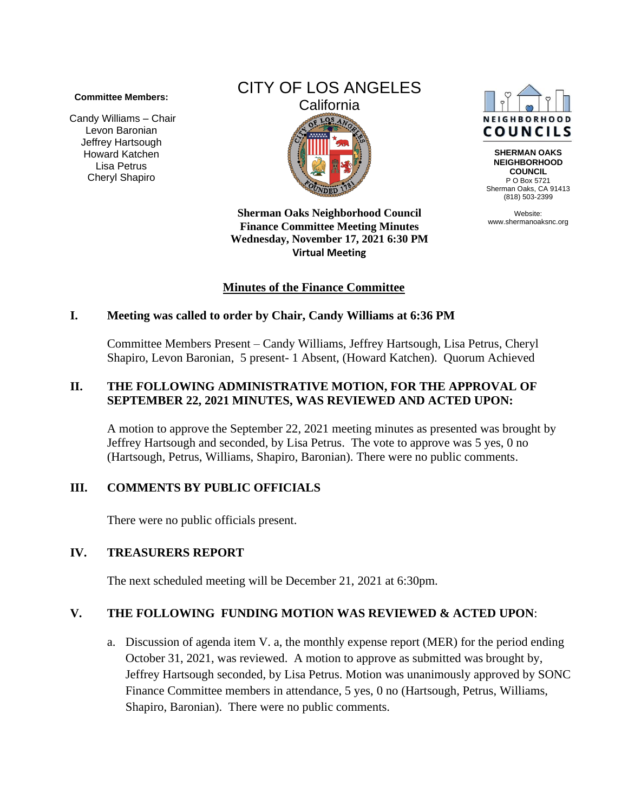#### **Committee Members:**

Candy Williams – Chair Levon Baronian Jeffrey Hartsough Howard Katchen Lisa Petrus Cheryl Shapiro

# CITY OF LOS ANGELES **California** LOS<sub>A</sub>

**Sherman Oaks Neighborhood Council Finance Committee Meeting Minutes Wednesday, November 17, 2021 6:30 PM Virtual Meeting** 

# **Minutes of the Finance Committee**

#### **I. Meeting was called to order by Chair, Candy Williams at 6:36 PM**

Committee Members Present – Candy Williams, Jeffrey Hartsough, Lisa Petrus, Cheryl Shapiro, Levon Baronian, 5 present- 1 Absent, (Howard Katchen). Quorum Achieved

#### **II. THE FOLLOWING ADMINISTRATIVE MOTION, FOR THE APPROVAL OF SEPTEMBER 22, 2021 MINUTES, WAS REVIEWED AND ACTED UPON:**

A motion to approve the September 22, 2021 meeting minutes as presented was brought by Jeffrey Hartsough and seconded, by Lisa Petrus. The vote to approve was 5 yes, 0 no (Hartsough, Petrus, Williams, Shapiro, Baronian). There were no public comments.

# **III. COMMENTS BY PUBLIC OFFICIALS**

There were no public officials present.

# **IV. TREASURERS REPORT**

The next scheduled meeting will be December 21, 2021 at 6:30pm.

# **V. THE FOLLOWING FUNDING MOTION WAS REVIEWED & ACTED UPON**:

a. Discussion of agenda item V. a, the monthly expense report (MER) for the period ending October 31, 2021, was reviewed. A motion to approve as submitted was brought by, Jeffrey Hartsough seconded, by Lisa Petrus. Motion was unanimously approved by SONC Finance Committee members in attendance, 5 yes, 0 no (Hartsough, Petrus, Williams, Shapiro, Baronian). There were no public comments.



**SHERMAN OAKS NEIGHBORHOOD COUNCIL** P O Box 5721 Sherman Oaks, CA 91413 (818) 503-2399

Website: www.shermanoaksnc.org